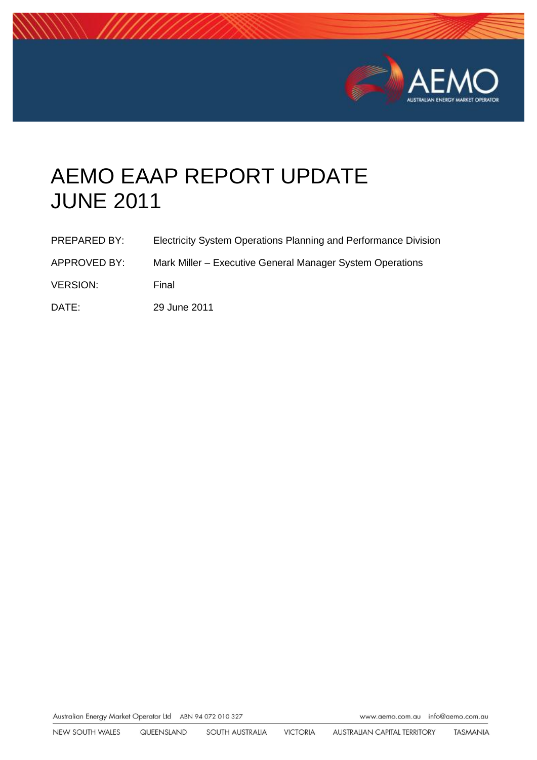

# AEMO EAAP REPORT UPDATE JUNE 2011

| PREPARED BY:    | Electricity System Operations Planning and Performance Division |
|-----------------|-----------------------------------------------------------------|
| APPROVED BY:    | Mark Miller – Executive General Manager System Operations       |
| <b>VERSION:</b> | Final                                                           |
| DATE:           | 29 June 2011                                                    |

Australian Energy Market Operator Ltd ABN 94 072 010 327

www.aemo.com.au info@aemo.com.au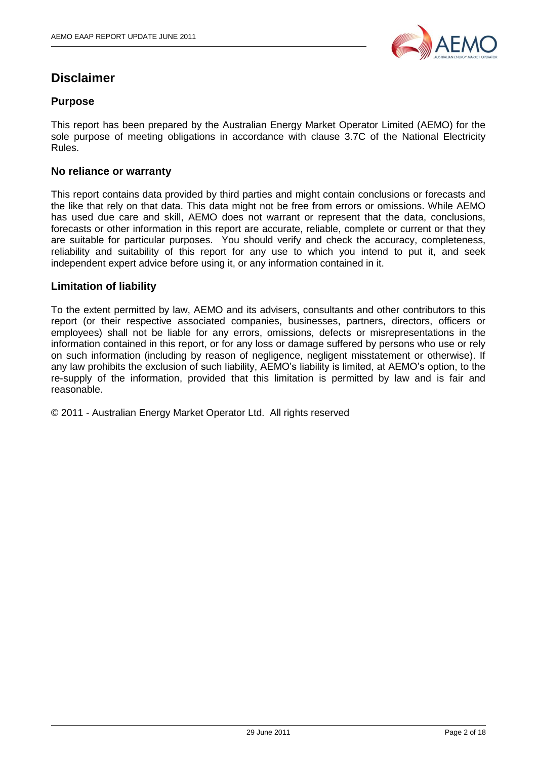

## **Disclaimer**

#### **Purpose**

This report has been prepared by the Australian Energy Market Operator Limited (AEMO) for the sole purpose of meeting obligations in accordance with clause 3.7C of the National Electricity Rules.

#### **No reliance or warranty**

This report contains data provided by third parties and might contain conclusions or forecasts and the like that rely on that data. This data might not be free from errors or omissions. While AEMO has used due care and skill, AEMO does not warrant or represent that the data, conclusions, forecasts or other information in this report are accurate, reliable, complete or current or that they are suitable for particular purposes. You should verify and check the accuracy, completeness, reliability and suitability of this report for any use to which you intend to put it, and seek independent expert advice before using it, or any information contained in it.

#### **Limitation of liability**

To the extent permitted by law, AEMO and its advisers, consultants and other contributors to this report (or their respective associated companies, businesses, partners, directors, officers or employees) shall not be liable for any errors, omissions, defects or misrepresentations in the information contained in this report, or for any loss or damage suffered by persons who use or rely on such information (including by reason of negligence, negligent misstatement or otherwise). If any law prohibits the exclusion of such liability, AEMO"s liability is limited, at AEMO"s option, to the re-supply of the information, provided that this limitation is permitted by law and is fair and reasonable.

© 2011 - Australian Energy Market Operator Ltd. All rights reserved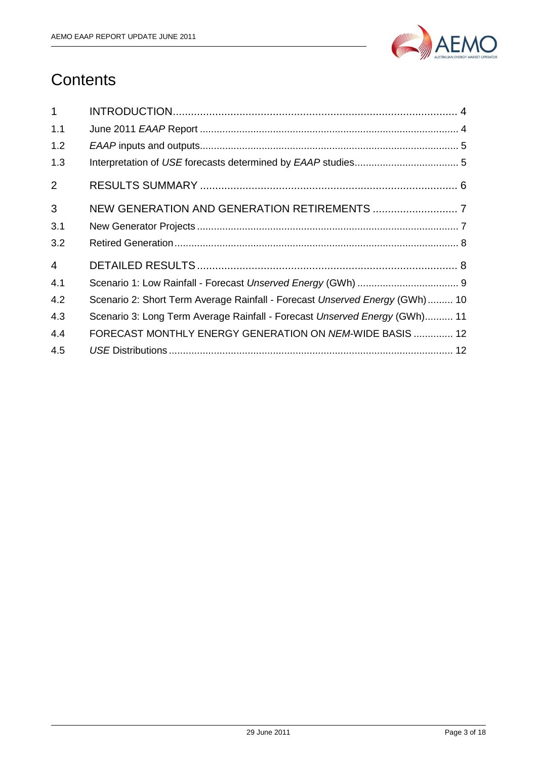

## **Contents**

| $\mathbf{1}$   |                                                                              |
|----------------|------------------------------------------------------------------------------|
| 1.1            |                                                                              |
| 1.2            |                                                                              |
| 1.3            |                                                                              |
| $\overline{2}$ |                                                                              |
| 3              |                                                                              |
| 3.1            |                                                                              |
| 3.2            |                                                                              |
| $\overline{4}$ |                                                                              |
| 4.1            |                                                                              |
| 4.2            | Scenario 2: Short Term Average Rainfall - Forecast Unserved Energy (GWh)  10 |
| 4.3            | Scenario 3: Long Term Average Rainfall - Forecast Unserved Energy (GWh) 11   |
| 4.4            | FORECAST MONTHLY ENERGY GENERATION ON NEM-WIDE BASIS  12                     |
| 4.5            |                                                                              |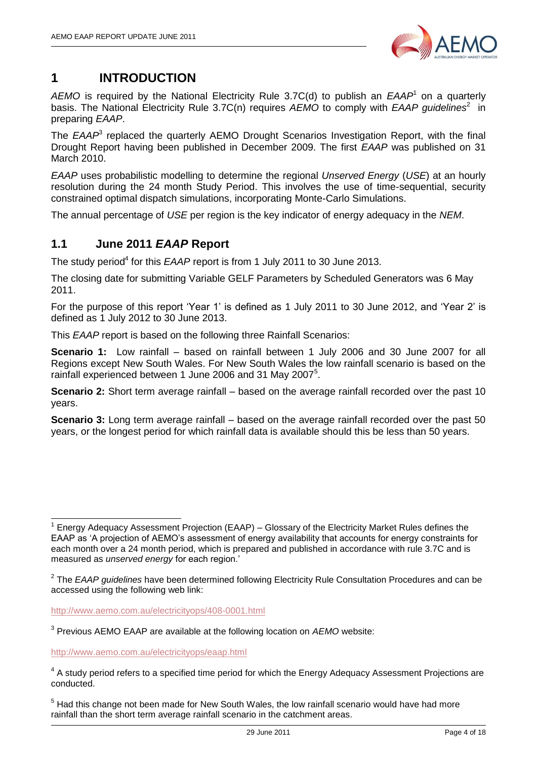

## <span id="page-3-0"></span>**1 INTRODUCTION**

AEMO is required by the National Electricity Rule 3.7C(d) to publish an EAAP<sup>1</sup> on a quarterly basis. The National Electricity Rule 3.7C(n) requires AEMO to comply with EAAP guidelines<sup>2</sup> in preparing *EAAP*.

The *EAAP*<sup>3</sup> replaced the quarterly AEMO Drought Scenarios Investigation Report, with the final Drought Report having been published in December 2009. The first *EAAP* was published on 31 March 2010.

*EAAP* uses probabilistic modelling to determine the regional *Unserved Energy* (*USE*) at an hourly resolution during the 24 month Study Period. This involves the use of time-sequential, security constrained optimal dispatch simulations, incorporating Monte-Carlo Simulations.

The annual percentage of *USE* per region is the key indicator of energy adequacy in the *NEM*.

#### <span id="page-3-1"></span>**1.1 June 2011** *EAAP* **Report**

The study period<sup>4</sup> for this EAAP report is from 1 July 2011 to 30 June 2013.

The closing date for submitting Variable GELF Parameters by Scheduled Generators was 6 May 2011.

For the purpose of this report "Year 1" is defined as 1 July 2011 to 30 June 2012, and "Year 2" is defined as 1 July 2012 to 30 June 2013.

This *EAAP* report is based on the following three Rainfall Scenarios:

**Scenario 1:** Low rainfall – based on rainfall between 1 July 2006 and 30 June 2007 for all Regions except New South Wales. For New South Wales the low rainfall scenario is based on the rainfall experienced between 1 June 2006 and 31 May 2007<sup>5</sup>.

**Scenario 2:** Short term average rainfall – based on the average rainfall recorded over the past 10 years.

**Scenario 3:** Long term average rainfall – based on the average rainfall recorded over the past 50 years, or the longest period for which rainfall data is available should this be less than 50 years.

<http://www.aemo.com.au/electricityops/408-0001.html>

3 Previous AEMO EAAP are available at the following location on *AEMO* website:

<http://www.aemo.com.au/electricityops/eaap.html>

-

<sup>1</sup> Energy Adequacy Assessment Projection (EAAP) – Glossary of the Electricity Market Rules defines the EAAP as 'A projection of AEMO's assessment of energy availability that accounts for energy constraints for each month over a 24 month period, which is prepared and published in accordance with rule 3.7C and is measured as *unserved energy* for each region."

<sup>2</sup> The *EAAP guidelines* have been determined following Electricity Rule Consultation Procedures and can be accessed using the following web link:

 $4$  A study period refers to a specified time period for which the Energy Adequacy Assessment Projections are conducted.

 $<sup>5</sup>$  Had this change not been made for New South Wales, the low rainfall scenario would have had more</sup> rainfall than the short term average rainfall scenario in the catchment areas.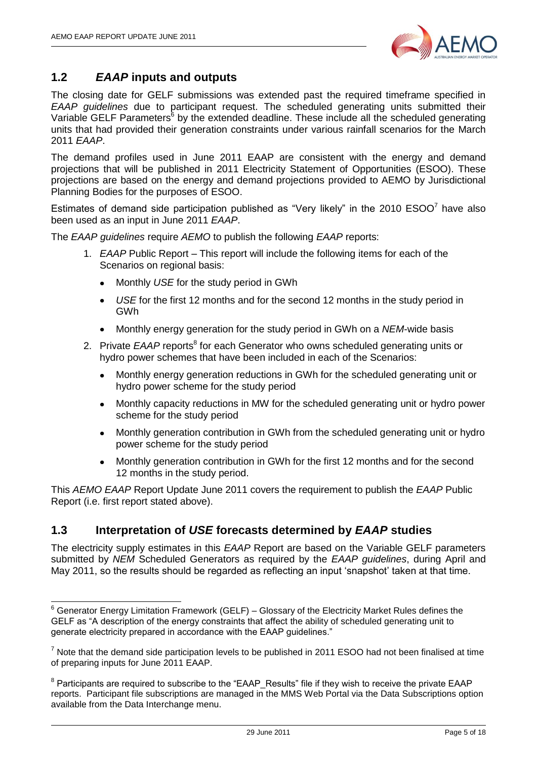$\overline{\phantom{a}}$ 



#### <span id="page-4-0"></span>**1.2** *EAAP* **inputs and outputs**

The closing date for GELF submissions was extended past the required timeframe specified in *EAAP guidelines* due to participant request. The scheduled generating units submitted their Variable GELF Parameters<sup>6</sup> by the extended deadline. These include all the scheduled generating units that had provided their generation constraints under various rainfall scenarios for the March 2011 *EAAP*.

The demand profiles used in June 2011 EAAP are consistent with the energy and demand projections that will be published in 2011 Electricity Statement of Opportunities (ESOO). These projections are based on the energy and demand projections provided to AEMO by Jurisdictional Planning Bodies for the purposes of ESOO.

Estimates of demand side participation published as "Very likely" in the 2010  $ESOO<sup>7</sup>$  have also been used as an input in June 2011 *EAAP*.

The *EAAP guidelines* require *AEMO* to publish the following *EAAP* reports:

- 1. *EAAP* Public Report This report will include the following items for each of the Scenarios on regional basis:
	- Monthly *USE* for the study period in GWh
	- $\bullet$ *USE* for the first 12 months and for the second 12 months in the study period in GWh
	- Monthly energy generation for the study period in GWh on a *NEM*-wide basis  $\bullet$
- 2. Private EAAP reports<sup>8</sup> for each Generator who owns scheduled generating units or hydro power schemes that have been included in each of the Scenarios:
	- Monthly energy generation reductions in GWh for the scheduled generating unit or hydro power scheme for the study period
	- Monthly capacity reductions in MW for the scheduled generating unit or hydro power scheme for the study period
	- Monthly generation contribution in GWh from the scheduled generating unit or hydro power scheme for the study period
	- Monthly generation contribution in GWh for the first 12 months and for the second 12 months in the study period.

This *AEMO EAAP* Report Update June 2011 covers the requirement to publish the *EAAP* Public Report (i.e. first report stated above).

#### <span id="page-4-1"></span>**1.3 Interpretation of** *USE* **forecasts determined by** *EAAP* **studies**

The electricity supply estimates in this *EAAP* Report are based on the Variable GELF parameters submitted by *NEM* Scheduled Generators as required by the *EAAP guidelines*, during April and May 2011, so the results should be regarded as reflecting an input "snapshot" taken at that time.

 $6$  Generator Energy Limitation Framework (GELF) – Glossary of the Electricity Market Rules defines the GELF as "A description of the energy constraints that affect the ability of scheduled generating unit to generate electricity prepared in accordance with the EAAP guidelines."

 $7$  Note that the demand side participation levels to be published in 2011 ESOO had not been finalised at time of preparing inputs for June 2011 EAAP.

<sup>&</sup>lt;sup>8</sup> Participants are required to subscribe to the "EAAP\_Results" file if they wish to receive the private EAAP reports. Participant file subscriptions are managed in the MMS Web Portal via the Data Subscriptions option available from the Data Interchange menu.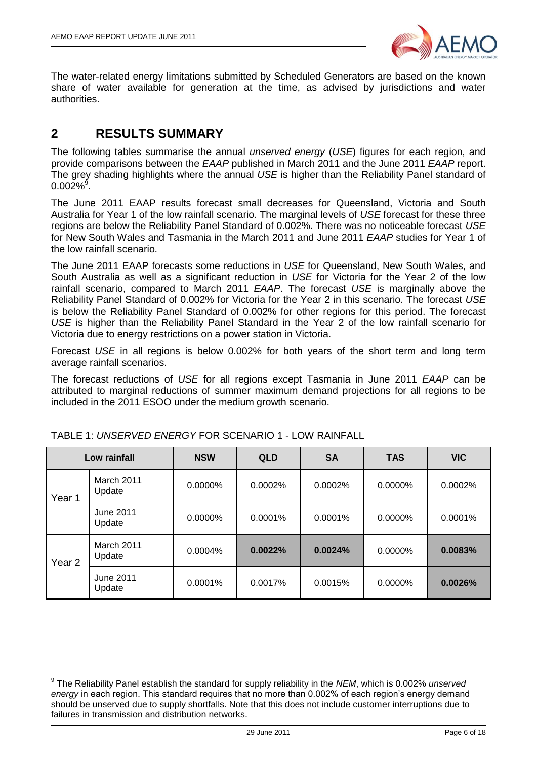

The water-related energy limitations submitted by Scheduled Generators are based on the known share of water available for generation at the time, as advised by jurisdictions and water authorities.

## <span id="page-5-0"></span>**2 RESULTS SUMMARY**

The following tables summarise the annual *unserved energy* (*USE*) figures for each region, and provide comparisons between the *EAAP* published in March 2011 and the June 2011 *EAAP* report. The grey shading highlights where the annual *USE* is higher than the Reliability Panel standard of  $0.002\%$ <sup>9</sup>.

The June 2011 EAAP results forecast small decreases for Queensland, Victoria and South Australia for Year 1 of the low rainfall scenario. The marginal levels of *USE* forecast for these three regions are below the Reliability Panel Standard of 0.002%. There was no noticeable forecast *USE* for New South Wales and Tasmania in the March 2011 and June 2011 *EAAP* studies for Year 1 of the low rainfall scenario.

The June 2011 EAAP forecasts some reductions in *USE* for Queensland, New South Wales, and South Australia as well as a significant reduction in *USE* for Victoria for the Year 2 of the low rainfall scenario, compared to March 2011 *EAAP*. The forecast *USE* is marginally above the Reliability Panel Standard of 0.002% for Victoria for the Year 2 in this scenario. The forecast *USE* is below the Reliability Panel Standard of 0.002% for other regions for this period. The forecast *USE* is higher than the Reliability Panel Standard in the Year 2 of the low rainfall scenario for Victoria due to energy restrictions on a power station in Victoria.

Forecast *USE* in all regions is below 0.002% for both years of the short term and long term average rainfall scenarios.

The forecast reductions of *USE* for all regions except Tasmania in June 2011 *EAAP* can be attributed to marginal reductions of summer maximum demand projections for all regions to be included in the 2011 ESOO under the medium growth scenario.

|                   | Low rainfall         | <b>NSW</b> | <b>QLD</b> | <b>SA</b> | <b>TAS</b> | <b>VIC</b> |
|-------------------|----------------------|------------|------------|-----------|------------|------------|
| Year 1            | March 2011<br>Update | 0.0000%    | 0.0002%    | 0.0002%   | $0.0000\%$ | 0.0002%    |
|                   | June 2011<br>Update  | 0.0000%    | 0.0001%    | 0.0001%   | 0.0000%    | 0.0001%    |
| Year <sub>2</sub> | March 2011<br>Update | 0.0004%    | 0.0022%    | 0.0024%   | 0.0000%    | 0.0083%    |
|                   | June 2011<br>Update  | 0.0001%    | 0.0017%    | 0.0015%   | 0.0000%    | 0.0026%    |

TABLE 1: *UNSERVED ENERGY* FOR SCENARIO 1 - LOW RAINFALL

 9 The Reliability Panel establish the standard for supply reliability in the *NEM*, which is 0.002% *unserved energy* in each region. This standard requires that no more than 0.002% of each region"s energy demand should be unserved due to supply shortfalls. Note that this does not include customer interruptions due to failures in transmission and distribution networks.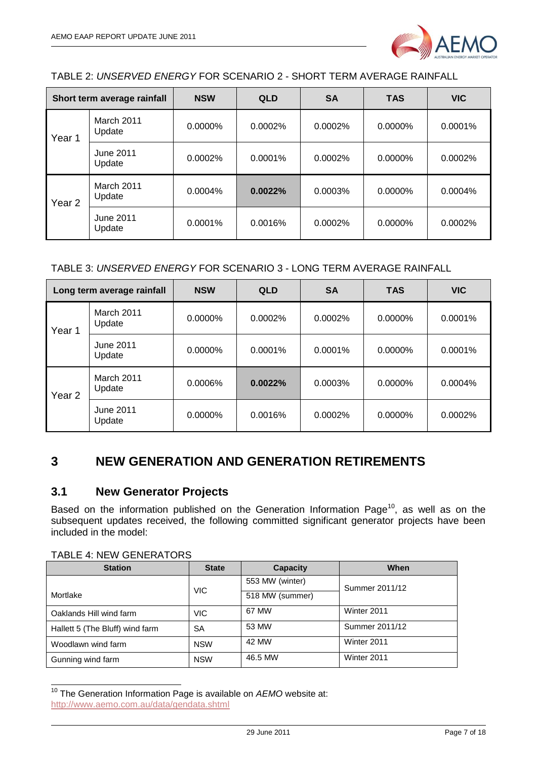

TABLE 2: *UNSERVED ENERGY* FOR SCENARIO 2 - SHORT TERM AVERAGE RAINFALL

| Short term average rainfall |                            | <b>NSW</b> | <b>QLD</b> | <b>SA</b> | <b>TAS</b> | <b>VIC</b> |
|-----------------------------|----------------------------|------------|------------|-----------|------------|------------|
| Year 1                      | March 2011<br>Update       | 0.0000%    | 0.0002%    | 0.0002%   | 0.0000%    | 0.0001%    |
|                             | June 2011<br>Update        | 0.0002%    | 0.0001%    | 0.0002%   | $0.0000\%$ | 0.0002%    |
| Year <sub>2</sub>           | March 2011<br>Update       | $0.0004\%$ | 0.0022%    | 0.0003%   | $0.0000\%$ | 0.0004%    |
|                             | <b>June 2011</b><br>Update | 0.0001%    | 0.0016%    | 0.0002%   | 0.0000%    | 0.0002%    |

#### TABLE 3: *UNSERVED ENERGY* FOR SCENARIO 3 - LONG TERM AVERAGE RAINFALL

| Long term average rainfall |                            | <b>NSW</b> | <b>QLD</b> | <b>SA</b> | <b>TAS</b> | <b>VIC</b> |
|----------------------------|----------------------------|------------|------------|-----------|------------|------------|
| Year 1                     | March 2011<br>Update       | 0.0000%    | 0.0002%    | 0.0002%   | 0.0000%    | 0.0001%    |
|                            | <b>June 2011</b><br>Update | 0.0000%    | 0.0001%    | 0.0001%   | $0.0000\%$ | 0.0001%    |
| Year <sub>2</sub>          | March 2011<br>Update       | 0.0006%    | 0.0022%    | 0.0003%   | 0.0000%    | 0.0004%    |
|                            | June 2011<br>Update        | 0.0000%    | 0.0016%    | 0.0002%   | 0.0000%    | 0.0002%    |

## <span id="page-6-0"></span>**3 NEW GENERATION AND GENERATION RETIREMENTS**

#### <span id="page-6-1"></span>**3.1 New Generator Projects**

Based on the information published on the Generation Information Page<sup>10</sup>, as well as on the subsequent updates received, the following committed significant generator projects have been included in the model:

TABLE 4: NEW GENERATORS

-

| <b>Station</b>                  | <b>State</b> | <b>Capacity</b> | When           |
|---------------------------------|--------------|-----------------|----------------|
|                                 |              | 553 MW (winter) | Summer 2011/12 |
| Mortlake                        | VIC.         | 518 MW (summer) |                |
| Oaklands Hill wind farm         | <b>VIC</b>   | 67 MW           | Winter 2011    |
| Hallett 5 (The Bluff) wind farm | SA           | 53 MW           | Summer 2011/12 |
| Woodlawn wind farm              | <b>NSW</b>   | 42 MW           | Winter 2011    |
| Gunning wind farm               | <b>NSW</b>   | 46.5 MW         | Winter 2011    |

<sup>&</sup>lt;sup>10</sup> The Generation Information Page is available on AEMO website at: <http://www.aemo.com.au/data/gendata.shtml>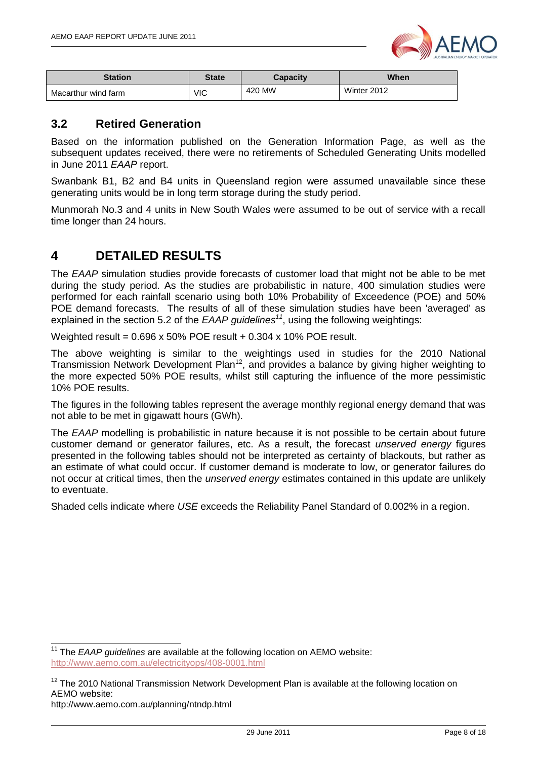

| <b>Station</b>      | <b>State</b> | Capacity | When        |
|---------------------|--------------|----------|-------------|
| Macarthur wind farm | VIC          | 420 MW   | Winter 2012 |

#### <span id="page-7-0"></span>**3.2 Retired Generation**

Based on the information published on the Generation Information Page, as well as the subsequent updates received, there were no retirements of Scheduled Generating Units modelled in June 2011 *EAAP* report.

Swanbank B1, B2 and B4 units in Queensland region were assumed unavailable since these generating units would be in long term storage during the study period.

Munmorah No.3 and 4 units in New South Wales were assumed to be out of service with a recall time longer than 24 hours.

## <span id="page-7-1"></span>**4 DETAILED RESULTS**

The *EAAP* simulation studies provide forecasts of customer load that might not be able to be met during the study period. As the studies are probabilistic in nature, 400 simulation studies were performed for each rainfall scenario using both 10% Probability of Exceedence (POE) and 50% POE demand forecasts. The results of all of these simulation studies have been 'averaged' as explained in the section 5.2 of the *EAAP guidelines<sup>11</sup>*, using the following weightings:

Weighted result = 0.696 x 50% POE result + 0.304 x 10% POE result.

The above weighting is similar to the weightings used in studies for the 2010 National Transmission Network Development Plan<sup>12</sup>, and provides a balance by giving higher weighting to the more expected 50% POE results, whilst still capturing the influence of the more pessimistic 10% POE results.

The figures in the following tables represent the average monthly regional energy demand that was not able to be met in gigawatt hours (GWh).

The *EAAP* modelling is probabilistic in nature because it is not possible to be certain about future customer demand or generator failures, etc. As a result, the forecast *unserved energy* figures presented in the following tables should not be interpreted as certainty of blackouts, but rather as an estimate of what could occur. If customer demand is moderate to low, or generator failures do not occur at critical times, then the *unserved energy* estimates contained in this update are unlikely to eventuate.

Shaded cells indicate where *USE* exceeds the Reliability Panel Standard of 0.002% in a region.

-

<sup>&</sup>lt;sup>11</sup> The *EAAP guidelines* are available at the following location on AEMO website: <http://www.aemo.com.au/electricityops/408-0001.html>

 $12$  The 2010 National Transmission Network Development Plan is available at the following location on AEMO website:

http://www.aemo.com.au/planning/ntndp.html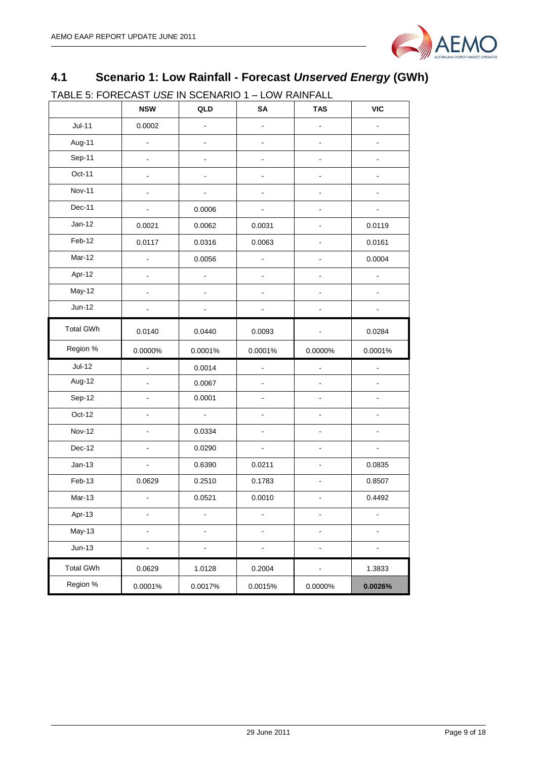

## <span id="page-8-0"></span>**4.1 Scenario 1: Low Rainfall - Forecast** *Unserved Energy* **(GWh)**

TABLE 5: FORECAST *USE* IN SCENARIO 1 – LOW RAINFALL

|                  | <b>NSW</b>     | QLD            | SA                       | <b>TAS</b>                   | <b>VIC</b>     |
|------------------|----------------|----------------|--------------------------|------------------------------|----------------|
| $Jul-11$         | 0.0002         |                | ÷                        |                              |                |
| Aug-11           | $\blacksquare$ | ÷              |                          | $\blacksquare$               |                |
| Sep-11           | $\blacksquare$ |                |                          | $\blacksquare$               |                |
| Oct-11           | $\blacksquare$ | -              | $\overline{\phantom{a}}$ | $\overline{\phantom{0}}$     | $\blacksquare$ |
| <b>Nov-11</b>    | $\blacksquare$ |                |                          | $\qquad \qquad \blacksquare$ |                |
| Dec-11           | $\blacksquare$ | 0.0006         |                          | $\overline{\phantom{0}}$     |                |
| $Jan-12$         | 0.0021         | 0.0062         | 0.0031                   | -                            | 0.0119         |
| Feb-12           | 0.0117         | 0.0316         | 0.0063                   | $\blacksquare$               | 0.0161         |
| Mar-12           | ä,             | 0.0056         | ÷,                       | $\overline{a}$               | 0.0004         |
| Apr-12           | L,             | L,             | $\overline{a}$           | $\overline{a}$               |                |
| May-12           | $\blacksquare$ | ÷,             | ÷.                       | ÷.                           |                |
| Jun-12           |                |                |                          |                              |                |
| <b>Total GWh</b> | 0.0140         | 0.0440         | 0.0093                   |                              | 0.0284         |
| Region %         | 0.0000%        | 0.0001%        | 0.0001%                  | 0.0000%                      | 0.0001%        |
| Jul-12           | L,             | 0.0014         | $\overline{\phantom{a}}$ | ÷,                           |                |
| Aug-12           | $\blacksquare$ | 0.0067         | $\blacksquare$           | $\frac{1}{2}$                | ÷.             |
| Sep-12           | $\blacksquare$ | 0.0001         | ÷.                       | $\overline{a}$               |                |
| Oct-12           | $\blacksquare$ | $\blacksquare$ | $\blacksquare$           | ÷,                           | $\blacksquare$ |
| Nov-12           | $\blacksquare$ | 0.0334         |                          | $\blacksquare$               | $\blacksquare$ |
| Dec-12           | $\blacksquare$ | 0.0290         | $\blacksquare$           | $\blacksquare$               | $\blacksquare$ |
| $Jan-13$         | $\blacksquare$ | 0.6390         | 0.0211                   | $\overline{\phantom{a}}$     | 0.0835         |
| Feb-13           | 0.0629         | 0.2510         | 0.1783                   | $\frac{1}{2}$                | 0.8507         |
| Mar-13           | $\blacksquare$ | 0.0521         | 0.0010                   | $\blacksquare$               | 0.4492         |
| Apr-13           | $\overline{a}$ |                | ä,                       |                              |                |
| <b>May-13</b>    |                |                |                          |                              |                |
| $Jun-13$         | -              | ÷,             | $\overline{a}$           | $\qquad \qquad \blacksquare$ |                |
| <b>Total GWh</b> | 0.0629         | 1.0128         | 0.2004                   | ÷                            | 1.3833         |
| Region %         | 0.0001%        | 0.0017%        | 0.0015%                  | 0.0000%                      | 0.0026%        |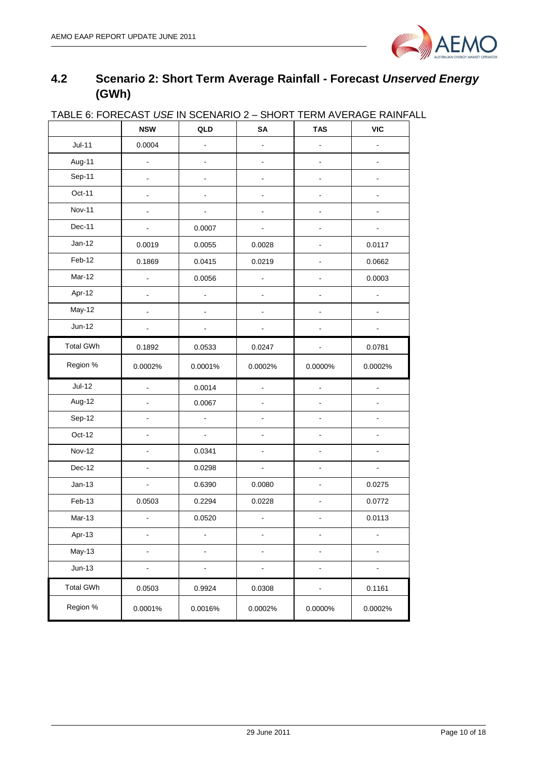

## <span id="page-9-0"></span>**4.2 Scenario 2: Short Term Average Rainfall - Forecast** *Unserved Energy* **(GWh)**

| <b>INDEE 0. I ONE ONOT OUR INTO</b> | <b>NSW</b>                   | <b>&gt; &gt; 11 12 12 13 14</b><br>QLD | י ישויט<br>SA            | ______________<br><b>TAS</b> | <b>VIC</b>     |
|-------------------------------------|------------------------------|----------------------------------------|--------------------------|------------------------------|----------------|
| $Jul-11$                            | 0.0004                       | $\blacksquare$                         | ä,                       | $\blacksquare$               |                |
| Aug-11                              | $\overline{\phantom{a}}$     | $\overline{\phantom{0}}$               | $\overline{\phantom{0}}$ | $\ddot{\phantom{a}}$         |                |
| Sep-11                              | $\frac{1}{2}$                | $\overline{\phantom{0}}$               | ÷,                       | $\blacksquare$               |                |
| Oct-11                              | $\blacksquare$               | $\overline{\phantom{0}}$               | $\blacksquare$           | $\blacksquare$               | $\frac{1}{2}$  |
| Nov-11                              |                              |                                        |                          | $\blacksquare$               |                |
| Dec-11                              | $\overline{\phantom{a}}$     | 0.0007                                 |                          | $\blacksquare$               | $\blacksquare$ |
| $Jan-12$                            | 0.0019                       | 0.0055                                 | 0.0028                   |                              | 0.0117         |
| Feb-12                              | 0.1869                       | 0.0415                                 | 0.0219                   | $\blacksquare$               | 0.0662         |
| Mar-12                              |                              | 0.0056                                 |                          | $\ddot{\phantom{a}}$         | 0.0003         |
| Apr-12                              |                              |                                        |                          |                              |                |
| May-12                              |                              |                                        |                          |                              |                |
| Jun-12                              |                              |                                        |                          |                              |                |
| <b>Total GWh</b>                    | 0.1892                       | 0.0533                                 | 0.0247                   |                              | 0.0781         |
| Region %                            | 0.0002%                      | 0.0001%                                | 0.0002%                  | 0.0000%                      | 0.0002%        |
| $Jul-12$                            | ä,                           | 0.0014                                 |                          |                              |                |
| Aug-12                              |                              | 0.0067                                 |                          |                              |                |
| Sep-12                              | $\qquad \qquad \blacksquare$ | $\blacksquare$                         | $\overline{\phantom{0}}$ | $\blacksquare$               | $\blacksquare$ |
| Oct-12                              | ä,                           | $\omega$                               | ÷,                       | $\blacksquare$               | $\blacksquare$ |
| <b>Nov-12</b>                       | $\blacksquare$               | 0.0341                                 | ÷,                       | $\blacksquare$               | $\blacksquare$ |
| Dec-12                              | $\overline{a}$               | 0.0298                                 |                          | $\blacksquare$               |                |
| $Jan-13$                            | $\overline{a}$               | 0.6390                                 | 0.0080                   |                              | 0.0275         |
| Feb-13                              | 0.0503                       | 0.2294                                 | 0.0228                   |                              | 0.0772         |
| Mar-13                              | $\blacksquare$               | 0.0520                                 | $\overline{\phantom{a}}$ | $\blacksquare$               | 0.0113         |
| Apr-13                              |                              |                                        |                          |                              |                |
| <b>May-13</b>                       | $\overline{a}$               | ä,                                     |                          |                              |                |
| $Jun-13$                            | $\overline{\phantom{a}}$     | $\blacksquare$                         | ä,                       | $\overline{a}$               |                |
| <b>Total GWh</b>                    | 0.0503                       | 0.9924                                 | 0.0308                   |                              | 0.1161         |
| Region %                            | 0.0001%                      | 0.0016%                                | 0.0002%                  | 0.0000%                      | 0.0002%        |

#### TABLE 6: FORECAST *USE* IN SCENARIO 2 – SHORT TERM AVERAGE RAINFALL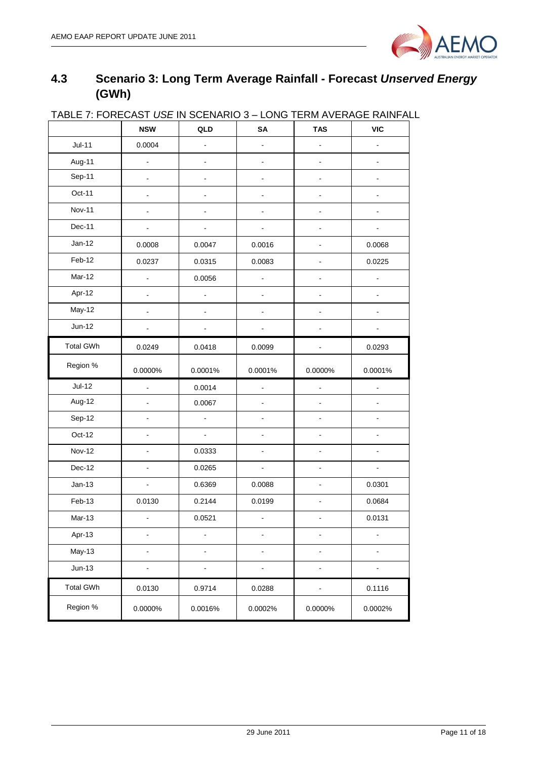

## <span id="page-10-0"></span>**4.3 Scenario 3: Long Term Average Rainfall - Forecast** *Unserved Energy* **(GWh)**

| <u> IADLE 7. FUNEUAST USE IN SUENANIU 3 – LUNG TENNI AVENAGE NAINFAL</u> | <b>NSW</b>               | QLD                          | SA                       | <b>TAS</b>     | <b>VIC</b>               |
|--------------------------------------------------------------------------|--------------------------|------------------------------|--------------------------|----------------|--------------------------|
| $Jul-11$                                                                 | 0.0004                   | ÷,                           | $\overline{\phantom{0}}$ | $\blacksquare$ | $\frac{1}{2}$            |
| Aug-11                                                                   | $\overline{a}$           | ÷,                           | $\overline{\phantom{0}}$ | $\frac{1}{2}$  | -                        |
| Sep-11                                                                   |                          |                              |                          |                |                          |
| Oct-11                                                                   | $\overline{a}$           | $\overline{\phantom{a}}$     | ÷,                       |                | $\overline{a}$           |
| Nov-11                                                                   |                          | ä,                           |                          |                |                          |
| Dec-11                                                                   |                          |                              |                          |                |                          |
| $Jan-12$                                                                 | 0.0008                   | 0.0047                       | 0.0016                   |                | 0.0068                   |
| Feb-12                                                                   | 0.0237                   | 0.0315                       | 0.0083                   |                | 0.0225                   |
| Mar-12                                                                   | $\blacksquare$           | 0.0056                       | $\overline{\phantom{0}}$ |                | ä,                       |
| Apr-12                                                                   |                          | $\overline{a}$               | $\overline{\phantom{a}}$ |                |                          |
| May-12                                                                   | $\blacksquare$           | -                            | ÷                        | $\blacksquare$ |                          |
| $Jun-12$                                                                 |                          |                              |                          |                |                          |
| <b>Total GWh</b>                                                         | 0.0249                   | 0.0418                       | 0.0099                   |                | 0.0293                   |
| Region %                                                                 | 0.0000%                  | 0.0001%                      | 0.0001%                  | 0.0000%        | 0.0001%                  |
| $Jul-12$                                                                 | $\blacksquare$           | 0.0014                       | $\blacksquare$           | ÷,             | ÷,                       |
| Aug-12                                                                   | $\overline{a}$           | 0.0067                       | ÷,                       |                |                          |
| Sep-12                                                                   |                          | $\overline{a}$               |                          |                |                          |
| Oct-12                                                                   |                          | ä,                           |                          |                |                          |
| <b>Nov-12</b>                                                            | $\frac{1}{2}$            | 0.0333                       | ä,                       |                | $\blacksquare$           |
| Dec-12                                                                   |                          | 0.0265                       | $\blacksquare$           |                | ÷.                       |
| $Jan-13$                                                                 | $\overline{a}$           | 0.6369                       | 0.0088                   |                | 0.0301                   |
| Feb-13                                                                   | 0.0130                   | 0.2144                       | 0.0199                   |                | 0.0684                   |
| Mar-13                                                                   |                          | 0.0521                       |                          |                | 0.0131                   |
| Apr-13                                                                   | $\overline{\phantom{a}}$ | $\overline{a}$               | ä,                       |                | ÷,                       |
| May-13                                                                   | $\overline{\phantom{0}}$ | $\qquad \qquad \blacksquare$ | -                        | ۰              | $\overline{\phantom{a}}$ |
| $Jun-13$                                                                 | -                        | -                            | -                        |                |                          |
| <b>Total GWh</b>                                                         | 0.0130                   | 0.9714                       | 0.0288                   | -              | 0.1116                   |
| Region %                                                                 | 0.0000%                  | 0.0016%                      | 0.0002%                  | 0.0000%        | 0.0002%                  |

## TABLE 7: FORECAST *USE* IN SCENARIO 3 – LONG TERM AVERAGE RAINFALL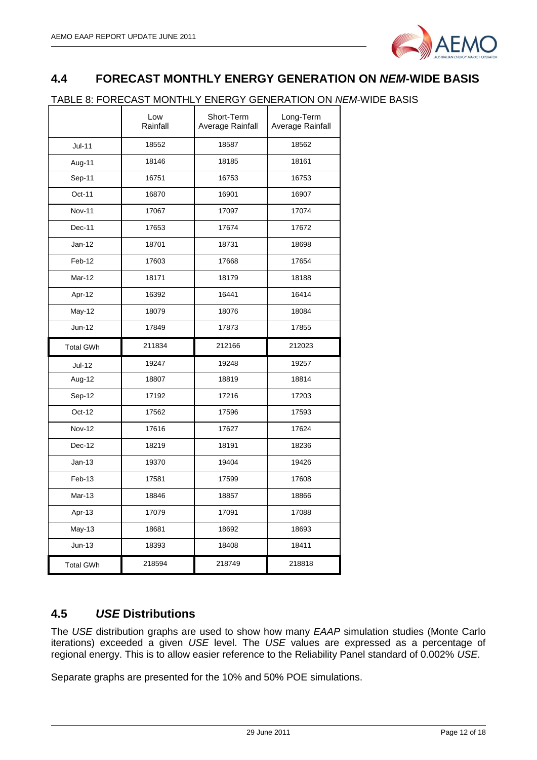

## <span id="page-11-0"></span>**4.4 FORECAST MONTHLY ENERGY GENERATION ON** *NEM***-WIDE BASIS**

#### TABLE 8: FORECAST MONTHLY ENERGY GENERATION ON *NEM*-WIDE BASIS

|                  | Low<br>Rainfall | Short-Term<br>Average Rainfall | Long-Term<br>Average Rainfall |
|------------------|-----------------|--------------------------------|-------------------------------|
| Jul-11           | 18552           | 18587                          | 18562                         |
| Aug-11           | 18146           | 18185                          | 18161                         |
| Sep-11           | 16751           | 16753                          | 16753                         |
| Oct-11           | 16870           | 16901                          | 16907                         |
| <b>Nov-11</b>    | 17067           | 17097                          | 17074                         |
| Dec-11           | 17653           | 17674                          | 17672                         |
| $Jan-12$         | 18701           | 18731                          | 18698                         |
| Feb-12           | 17603           | 17668                          | 17654                         |
| Mar-12           | 18171           | 18179                          | 18188                         |
| Apr-12           | 16392           | 16441                          | 16414                         |
| May-12           | 18079           | 18076                          | 18084                         |
| Jun-12           | 17849           | 17873                          | 17855                         |
| <b>Total GWh</b> | 211834          | 212166                         | 212023                        |
| Jul-12           | 19247           | 19248                          | 19257                         |
| Aug-12           | 18807           | 18819                          | 18814                         |
| Sep-12           | 17192           | 17216                          | 17203                         |
| Oct-12           | 17562           | 17596                          | 17593                         |
| <b>Nov-12</b>    | 17616           | 17627                          | 17624                         |
| Dec-12           | 18219           | 18191                          | 18236                         |
| $Jan-13$         | 19370           | 19404                          | 19426                         |
| Feb-13           | 17581           | 17599                          | 17608                         |
| Mar-13           | 18846           | 18857                          | 18866                         |
| Apr-13           | 17079           | 17091                          | 17088                         |
| May-13           | 18681           | 18692                          | 18693                         |
| $Jun-13$         | 18393           | 18408                          | 18411                         |
| <b>Total GWh</b> | 218594          | 218749                         | 218818                        |

### <span id="page-11-1"></span>**4.5** *USE* **Distributions**

The *USE* distribution graphs are used to show how many *EAAP* simulation studies (Monte Carlo iterations) exceeded a given *USE* level. The *USE* values are expressed as a percentage of regional energy. This is to allow easier reference to the Reliability Panel standard of 0.002% *USE*.

Separate graphs are presented for the 10% and 50% POE simulations.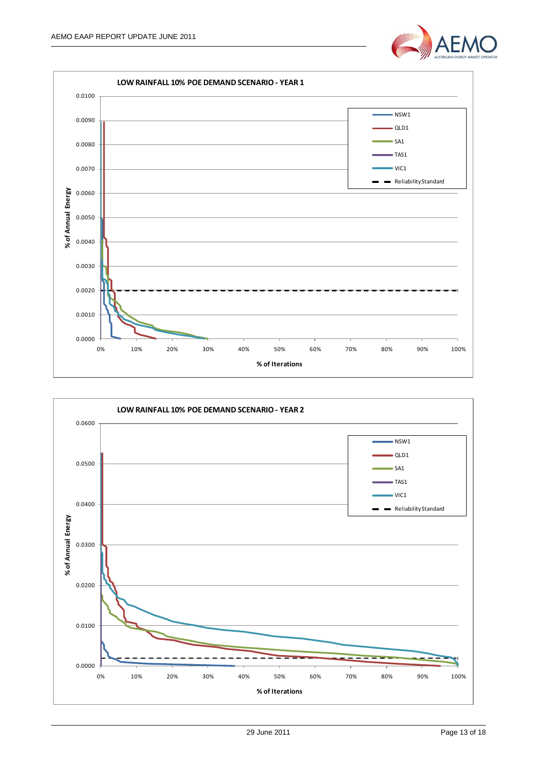



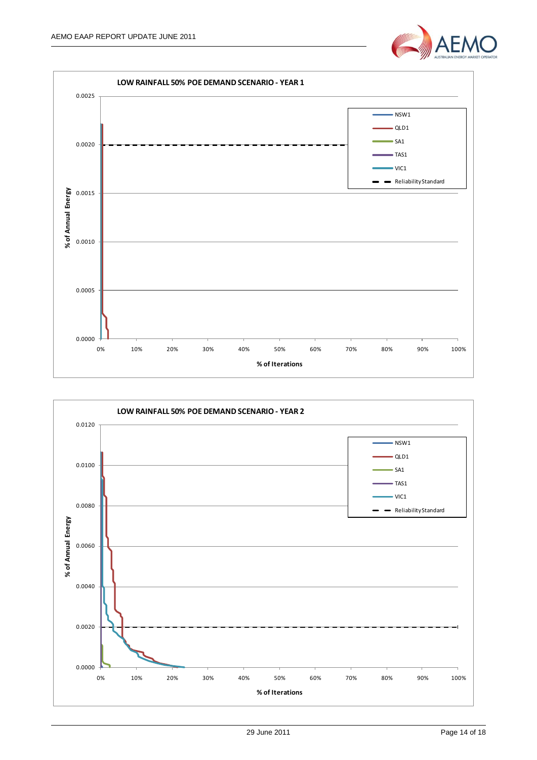



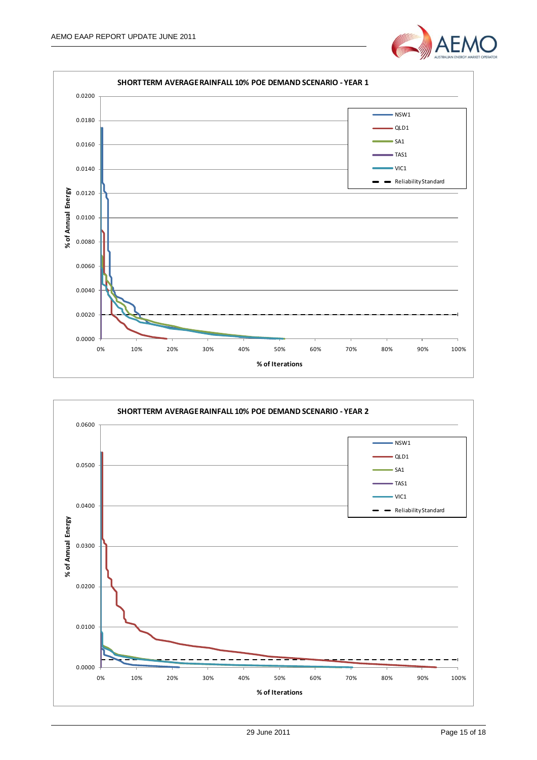



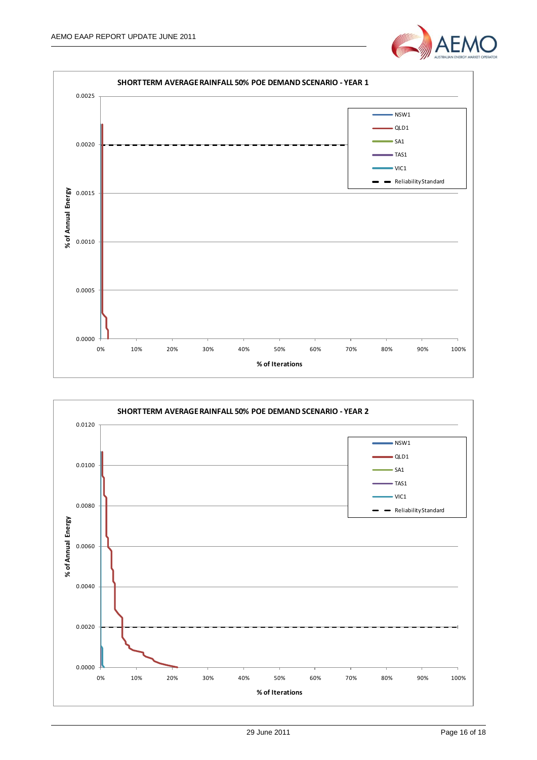



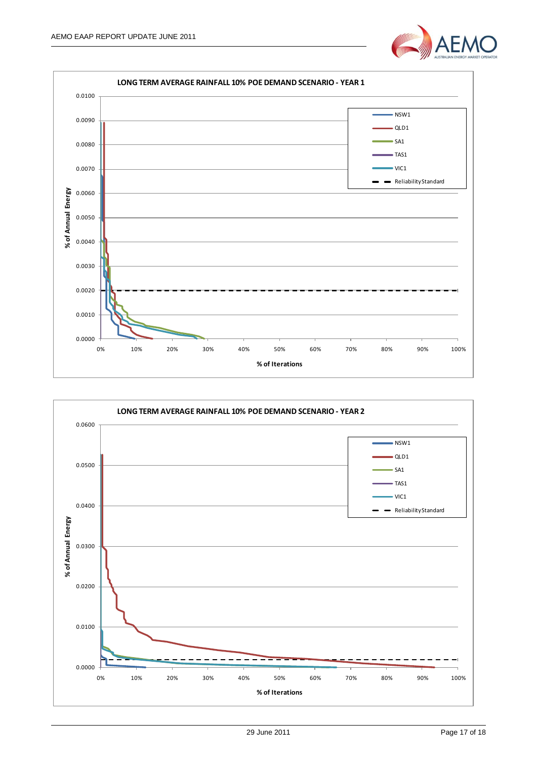